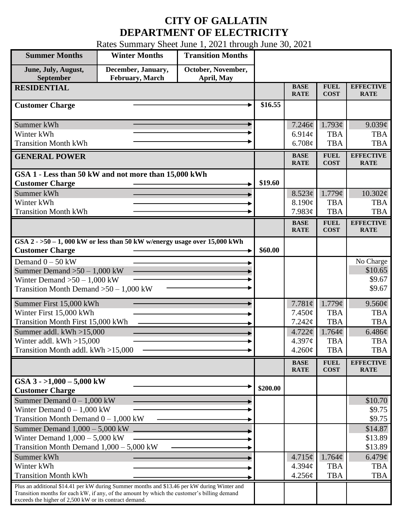## **CITY OF GALLATIN DEPARTMENT OF ELECTRICITY**

Rates Summary Sheet June 1, 2021 through June 30, 2021

| <b>Summer Months</b>                                                                                                                                                                                                                                 | <b>Winter Months</b>                  | <b>Transition Months</b>         |          |                            |                            |                                 |
|------------------------------------------------------------------------------------------------------------------------------------------------------------------------------------------------------------------------------------------------------|---------------------------------------|----------------------------------|----------|----------------------------|----------------------------|---------------------------------|
| June, July, August,<br>September                                                                                                                                                                                                                     | December, January,<br>February, March | October, November,<br>April, May |          |                            |                            |                                 |
| <b>RESIDENTIAL</b>                                                                                                                                                                                                                                   |                                       |                                  |          | <b>BASE</b><br><b>RATE</b> | <b>FUEL</b><br><b>COST</b> | <b>EFFECTIVE</b><br><b>RATE</b> |
| <b>Customer Charge</b>                                                                                                                                                                                                                               |                                       |                                  | \$16.55  |                            |                            |                                 |
| Summer kWh                                                                                                                                                                                                                                           |                                       |                                  |          | 7.246¢                     | 1.793¢                     | 9.039¢                          |
| Winter kWh                                                                                                                                                                                                                                           |                                       |                                  |          | 6.914 $\phi$               | <b>TBA</b>                 | <b>TBA</b>                      |
| <b>Transition Month kWh</b>                                                                                                                                                                                                                          |                                       |                                  |          | 6.708¢                     | <b>TBA</b>                 | <b>TBA</b>                      |
| <b>GENERAL POWER</b>                                                                                                                                                                                                                                 |                                       |                                  |          | <b>BASE</b><br><b>RATE</b> | <b>FUEL</b><br><b>COST</b> | <b>EFFECTIVE</b><br><b>RATE</b> |
| GSA 1 - Less than 50 kW and not more than 15,000 kWh                                                                                                                                                                                                 |                                       |                                  |          |                            |                            |                                 |
| <b>Customer Charge</b>                                                                                                                                                                                                                               |                                       |                                  | \$19.60  |                            |                            |                                 |
| Summer kWh                                                                                                                                                                                                                                           |                                       |                                  |          | 8.523¢                     | 1.779¢                     | $10.302\phi$                    |
| Winter kWh                                                                                                                                                                                                                                           |                                       |                                  |          | 8.190¢                     | <b>TBA</b>                 | <b>TBA</b>                      |
| <b>Transition Month kWh</b>                                                                                                                                                                                                                          |                                       |                                  |          | 7.983¢                     | <b>TBA</b>                 | <b>TBA</b>                      |
|                                                                                                                                                                                                                                                      |                                       |                                  |          | <b>BASE</b><br><b>RATE</b> | <b>FUEL</b><br><b>COST</b> | <b>EFFECTIVE</b><br><b>RATE</b> |
| GSA $2 - 50 - 1$ , 000 kW or less than 50 kW w/energy usage over 15,000 kWh<br><b>Customer Charge</b>                                                                                                                                                |                                       |                                  | \$60.00  |                            |                            |                                 |
| Demand $0 - 50$ kW                                                                                                                                                                                                                                   |                                       |                                  |          |                            |                            | No Charge                       |
| Summer Demand $>50-1,000$ kW                                                                                                                                                                                                                         |                                       |                                  |          |                            |                            | \$10.65                         |
| Winter Demand $>50-1,000$ kW                                                                                                                                                                                                                         |                                       |                                  |          |                            |                            | \$9.67                          |
| Transition Month Demand $>50-1,000$ kW                                                                                                                                                                                                               |                                       |                                  |          |                            |                            | \$9.67                          |
| Summer First 15,000 kWh                                                                                                                                                                                                                              |                                       |                                  |          | 7.781 $\phi$               | 1.779¢                     | $9.560\ell$                     |
| Winter First 15,000 kWh                                                                                                                                                                                                                              |                                       |                                  |          | $7.450\phi$                | <b>TBA</b>                 | <b>TBA</b>                      |
| Transition Month First 15,000 kWh                                                                                                                                                                                                                    |                                       |                                  |          | 7.242¢                     | <b>TBA</b>                 | <b>TBA</b>                      |
| Summer addl. $kWh > 15,000$                                                                                                                                                                                                                          |                                       |                                  |          | 4.722¢                     | 1.764¢                     | 6.486¢                          |
| Winter addl. $kWh > 15,000$                                                                                                                                                                                                                          |                                       |                                  |          | $4.397\phi$                | <b>TBA</b>                 | <b>TBA</b>                      |
| Transition Month addl. kWh >15,000                                                                                                                                                                                                                   |                                       |                                  |          | $4.260\phi$                | <b>TBA</b>                 | <b>TBA</b>                      |
|                                                                                                                                                                                                                                                      |                                       |                                  |          | <b>BASE</b><br><b>RATE</b> | <b>FUEL</b><br><b>COST</b> | <b>EFFECTIVE</b><br><b>RATE</b> |
| GSA $3 - 1,000 - 5,000$ kW<br><b>Customer Charge</b>                                                                                                                                                                                                 |                                       |                                  | \$200.00 |                            |                            |                                 |
| Summer Demand $0 - 1,000$ kW                                                                                                                                                                                                                         |                                       |                                  |          |                            |                            | \$10.70                         |
| Winter Demand $0 - 1,000$ kW                                                                                                                                                                                                                         |                                       |                                  |          |                            |                            | \$9.75                          |
| Transition Month Demand $0 - 1,000$ kW                                                                                                                                                                                                               |                                       |                                  |          |                            |                            | \$9.75                          |
| Summer Demand $1,000 - 5,000$ kW.                                                                                                                                                                                                                    |                                       |                                  |          |                            |                            | \$14.87                         |
| Winter Demand $1,000 - 5,000$ kW                                                                                                                                                                                                                     |                                       |                                  |          |                            |                            | \$13.89                         |
| Transition Month Demand $1,000 - 5,000$ kW                                                                                                                                                                                                           |                                       |                                  |          |                            |                            | \$13.89                         |
| Summer kWh                                                                                                                                                                                                                                           |                                       |                                  |          | 4.715¢                     | 1.764¢                     | $6.479\phi$                     |
| Winter kWh                                                                                                                                                                                                                                           |                                       |                                  |          | $4.394\mathcal{C}$         | <b>TBA</b>                 | <b>TBA</b>                      |
| <b>Transition Month kWh</b>                                                                                                                                                                                                                          |                                       |                                  |          | $4.256\phi$                | <b>TBA</b>                 | <b>TBA</b>                      |
| Plus an additional \$14.41 per kW during Summer months and \$13.46 per kW during Winter and<br>Transition months for each kW, if any, of the amount by which the customer's billing demand<br>exceeds the higher of 2,500 kW or its contract demand. |                                       |                                  |          |                            |                            |                                 |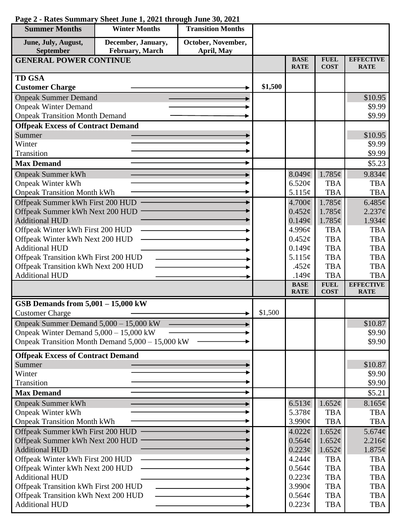| <b>Summer Months</b>                                      | <b>Winter Months</b>                             | <b>Transition Months</b> |         |                            |                            |                                  |
|-----------------------------------------------------------|--------------------------------------------------|--------------------------|---------|----------------------------|----------------------------|----------------------------------|
| June, July, August,                                       | December, January,                               | October, November,       |         |                            |                            |                                  |
| September                                                 | February, March                                  | April, May               |         |                            |                            |                                  |
| <b>GENERAL POWER CONTINUE</b>                             |                                                  |                          |         | <b>BASE</b><br><b>RATE</b> | <b>FUEL</b><br><b>COST</b> | <b>EFFECTIVE</b><br><b>RATE</b>  |
| <b>TD GSA</b>                                             |                                                  |                          |         |                            |                            |                                  |
| <b>Customer Charge</b>                                    |                                                  |                          | \$1,500 |                            |                            |                                  |
| <b>Onpeak Summer Demand</b>                               |                                                  |                          |         |                            |                            | \$10.95                          |
| <b>Onpeak Winter Demand</b>                               |                                                  |                          |         |                            |                            | \$9.99                           |
| <b>Onpeak Transition Month Demand</b>                     |                                                  |                          |         |                            |                            | \$9.99                           |
| <b>Offpeak Excess of Contract Demand</b>                  |                                                  |                          |         |                            |                            |                                  |
| Summer                                                    |                                                  |                          |         |                            |                            | \$10.95                          |
| Winter                                                    |                                                  |                          |         |                            |                            | \$9.99                           |
| Transition                                                |                                                  |                          |         |                            |                            | \$9.99                           |
| <b>Max Demand</b>                                         |                                                  |                          |         |                            |                            | \$5.23                           |
| <b>Onpeak Summer kWh</b>                                  |                                                  |                          |         | 8.049¢                     | 1.785¢                     | 9.834¢                           |
| <b>Onpeak Winter kWh</b>                                  |                                                  |                          |         | 6.520¢                     | <b>TBA</b>                 | <b>TBA</b>                       |
| <b>Onpeak Transition Month kWh</b>                        |                                                  |                          |         | 5.115¢                     | <b>TBA</b>                 | <b>TBA</b>                       |
| Offpeak Summer kWh First 200 HUD                          |                                                  |                          |         | 4.700¢                     | 1.785¢                     | 6.485¢                           |
| Offpeak Summer kWh Next 200 HUD                           |                                                  |                          |         | $0.452\phi$                | 1.785¢                     | $2.237\mathcal{C}$               |
| <b>Additional HUD</b><br>Offpeak Winter kWh First 200 HUD |                                                  |                          |         | 0.149¢<br>4.996¢           | 1.785¢<br><b>TBA</b>       | $1.934\mathcal{C}$<br><b>TBA</b> |
| Offpeak Winter kWh Next 200 HUD                           |                                                  |                          |         | 0.452¢                     | <b>TBA</b>                 | <b>TBA</b>                       |
| <b>Additional HUD</b>                                     |                                                  |                          |         | 0.149¢                     | <b>TBA</b>                 | <b>TBA</b>                       |
| Offpeak Transition kWh First 200 HUD                      |                                                  |                          |         | 5.115¢                     | <b>TBA</b>                 | <b>TBA</b>                       |
| Offpeak Transition kWh Next 200 HUD                       |                                                  |                          |         | .452 $\phi$                | <b>TBA</b>                 | <b>TBA</b>                       |
| <b>Additional HUD</b>                                     |                                                  |                          |         | .149 $\phi$                | <b>TBA</b>                 | <b>TBA</b>                       |
|                                                           |                                                  |                          |         | <b>BASE</b><br><b>RATE</b> | <b>FUEL</b><br><b>COST</b> | <b>EFFECTIVE</b><br><b>RATE</b>  |
| GSB Demands from 5,001 - 15,000 kW                        |                                                  |                          |         |                            |                            |                                  |
| <b>Customer Charge</b>                                    |                                                  |                          | \$1,500 |                            |                            |                                  |
| Onpeak Summer Demand 5,000 - 15,000 kW                    |                                                  |                          |         |                            |                            | \$10.87                          |
| Onpeak Winter Demand $5,000 - 15,000$ kW                  |                                                  |                          |         |                            |                            | \$9.90                           |
|                                                           | Onpeak Transition Month Demand 5,000 – 15,000 kW |                          |         |                            |                            | \$9.90                           |
|                                                           |                                                  |                          |         |                            |                            |                                  |
| <b>Offpeak Excess of Contract Demand</b>                  |                                                  |                          |         |                            |                            |                                  |
| Summer<br>Winter                                          |                                                  |                          |         |                            |                            | \$10.87<br>\$9.90                |
| Transition                                                |                                                  |                          |         |                            |                            | \$9.90                           |
| <b>Max Demand</b>                                         |                                                  |                          |         |                            |                            | \$5.21                           |
| <b>Onpeak Summer kWh</b>                                  |                                                  |                          |         | 6.513 $\phi$               | 1.652¢                     | 8.165¢                           |
| <b>Onpeak Winter kWh</b>                                  |                                                  |                          |         | 5.378¢                     | <b>TBA</b>                 | <b>TBA</b>                       |
| <b>Onpeak Transition Month kWh</b>                        |                                                  |                          |         | 3.990¢                     | <b>TBA</b>                 | <b>TBA</b>                       |
| Offpeak Summer kWh First 200 HUD                          |                                                  |                          |         | 4.022¢                     | 1.652¢                     | 5.674 $\phi$                     |
| Offpeak Summer kWh Next 200 HUD                           |                                                  |                          |         | 0.564¢                     | 1.652¢                     | 2.216¢                           |
| <b>Additional HUD</b>                                     |                                                  |                          |         | $0.223\phi$                | 1.652¢                     | $1.875\phi$                      |
| Offpeak Winter kWh First 200 HUD                          |                                                  |                          |         | 4.244¢                     | <b>TBA</b>                 | <b>TBA</b>                       |
| Offpeak Winter kWh Next 200 HUD                           |                                                  |                          |         | 0.564¢                     | <b>TBA</b>                 | <b>TBA</b>                       |
| <b>Additional HUD</b>                                     |                                                  |                          |         | $0.223\phi$                | <b>TBA</b>                 | <b>TBA</b>                       |
| Offpeak Transition kWh First 200 HUD                      |                                                  |                          |         | 3.990¢                     | <b>TBA</b>                 | <b>TBA</b>                       |
| Offpeak Transition kWh Next 200 HUD                       |                                                  |                          |         | 0.564¢                     | <b>TBA</b>                 | <b>TBA</b>                       |
| <b>Additional HUD</b>                                     |                                                  |                          |         | $0.223\phi$                | <b>TBA</b>                 | <b>TBA</b>                       |

## **Page 2 - Rates Summary Sheet June 1, 2021 through June 30, 2021**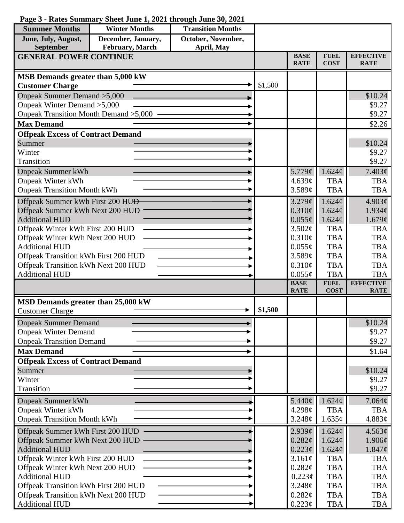| <b>Summer Months</b>                         | <b>Winter Months</b> | <b>Transition Months</b> |         |                            |                            |                                 |
|----------------------------------------------|----------------------|--------------------------|---------|----------------------------|----------------------------|---------------------------------|
| June, July, August,                          | December, January,   | October, November,       |         |                            |                            |                                 |
| September                                    | February, March      | April, May               |         |                            |                            |                                 |
| <b>GENERAL POWER CONTINUE</b>                |                      |                          |         | <b>BASE</b><br><b>RATE</b> | <b>FUEL</b><br><b>COST</b> | <b>EFFECTIVE</b><br><b>RATE</b> |
|                                              |                      |                          |         |                            |                            |                                 |
| MSB Demands greater than 5,000 kW            |                      |                          |         |                            |                            |                                 |
| <b>Customer Charge</b>                       |                      |                          | \$1,500 |                            |                            |                                 |
| Onpeak Summer Demand > 5,000                 |                      |                          |         |                            |                            | \$10.24                         |
| Onpeak Winter Demand > 5,000                 |                      |                          |         |                            |                            | \$9.27                          |
| Onpeak Transition Month Demand > 5,000       |                      |                          |         |                            |                            | \$9.27                          |
| <b>Max Demand</b>                            |                      |                          |         |                            |                            | \$2.26                          |
| <b>Offpeak Excess of Contract Demand</b>     |                      |                          |         |                            |                            |                                 |
| Summer                                       |                      |                          |         |                            |                            | \$10.24                         |
| Winter                                       |                      |                          |         |                            |                            | \$9.27                          |
| <b>Transition</b>                            |                      |                          |         |                            |                            | \$9.27                          |
| <b>Onpeak Summer kWh</b>                     |                      |                          |         | 5.779¢                     | 1.624¢                     | $7.403\phi$                     |
| <b>Onpeak Winter kWh</b>                     |                      |                          |         | 4.639¢                     | <b>TBA</b>                 | <b>TBA</b>                      |
| <b>Onpeak Transition Month kWh</b>           |                      |                          |         | 3.589c                     | <b>TBA</b>                 | <b>TBA</b>                      |
| Offpeak Summer kWh First 200 HU <del>D</del> |                      |                          |         | $3.279$ ¢                  | 1.624¢                     | 4.903¢                          |
| Offpeak Summer kWh Next 200 HUD              |                      |                          |         | $0.310\phi$                | 1.624¢                     | 1.934c                          |
| <b>Additional HUD</b>                        |                      |                          |         | $0.055\phi$                | 1.624¢                     | 1.679¢                          |
| Offpeak Winter kWh First 200 HUD             |                      |                          |         | 3.502¢                     | <b>TBA</b>                 | <b>TBA</b>                      |
| Offpeak Winter kWh Next 200 HUD              |                      |                          |         | 0.310¢                     | <b>TBA</b>                 | <b>TBA</b>                      |
| <b>Additional HUD</b>                        |                      |                          |         | $0.055\phi$                | <b>TBA</b>                 | <b>TBA</b>                      |
| Offpeak Transition kWh First 200 HUD         |                      |                          |         | 3.589¢                     | <b>TBA</b>                 | <b>TBA</b>                      |
| Offpeak Transition kWh Next 200 HUD          |                      |                          |         | $0.310\phi$                | <b>TBA</b>                 | <b>TBA</b>                      |
| <b>Additional HUD</b>                        |                      |                          |         | $0.055\phi$                | <b>TBA</b>                 | <b>TBA</b>                      |
|                                              |                      |                          |         | <b>BASE</b>                | <b>FUEL</b>                | <b>EFFECTIVE</b>                |
|                                              |                      |                          |         | <b>RATE</b>                | <b>COST</b>                | <b>RATE</b>                     |
| MSD Demands greater than 25,000 kW           |                      |                          |         |                            |                            |                                 |
| <b>Customer Charge</b>                       |                      |                          | \$1,500 |                            |                            |                                 |
| <b>Onpeak Summer Demand</b>                  |                      |                          |         |                            |                            | \$10.24                         |
| <b>Onpeak Winter Demand</b>                  |                      |                          |         |                            |                            | \$9.27                          |
| <b>Onpeak Transition Demand</b>              |                      |                          |         |                            |                            | \$9.27                          |
| <b>Max Demand</b>                            |                      |                          |         |                            |                            | \$1.64                          |
| <b>Offpeak Excess of Contract Demand</b>     |                      |                          |         |                            |                            |                                 |
| Summer                                       |                      |                          |         |                            |                            | \$10.24                         |
| Winter                                       |                      |                          |         |                            |                            | \$9.27                          |
| Transition                                   |                      |                          |         |                            |                            | \$9.27                          |
| <b>Onpeak Summer kWh</b>                     |                      |                          |         | 5.440¢                     | 1.624¢                     | $7.064\phi$                     |
| <b>Onpeak Winter kWh</b>                     |                      |                          |         | 4.298¢                     | <b>TBA</b>                 | <b>TBA</b>                      |
| <b>Onpeak Transition Month kWh</b>           |                      |                          |         | 3.248¢                     | 1.635¢                     | 4.883 $\phi$                    |
| Offpeak Summer kWh First 200 HUD             |                      |                          |         | 2.939¢                     | 1.624¢                     | 4.563¢                          |
| Offpeak Summer kWh Next 200 HUD              |                      |                          |         | 0.282¢                     | 1.624¢                     | $1.906\ell$                     |
| <b>Additional HUD</b>                        |                      |                          |         | $0.223\epsilon$            | 1.624¢                     | $1.847\phi$                     |
| Offpeak Winter kWh First 200 HUD             |                      |                          |         | 3.161¢                     | <b>TBA</b>                 | <b>TBA</b>                      |
| Offpeak Winter kWh Next 200 HUD              |                      |                          |         | 0.282¢                     | <b>TBA</b>                 | <b>TBA</b>                      |
| <b>Additional HUD</b>                        |                      |                          |         | $0.223\phi$                | <b>TBA</b>                 | <b>TBA</b>                      |
| Offpeak Transition kWh First 200 HUD         |                      |                          |         | 3.248¢                     | <b>TBA</b>                 | <b>TBA</b>                      |
| Offpeak Transition kWh Next 200 HUD          |                      |                          |         | 0.282¢                     | <b>TBA</b>                 | <b>TBA</b>                      |
| <b>Additional HUD</b>                        |                      |                          |         | 0.223¢                     | <b>TBA</b>                 | TBA                             |

## **Page 3 - Rates Summary Sheet June 1, 2021 through June 30, 2021**